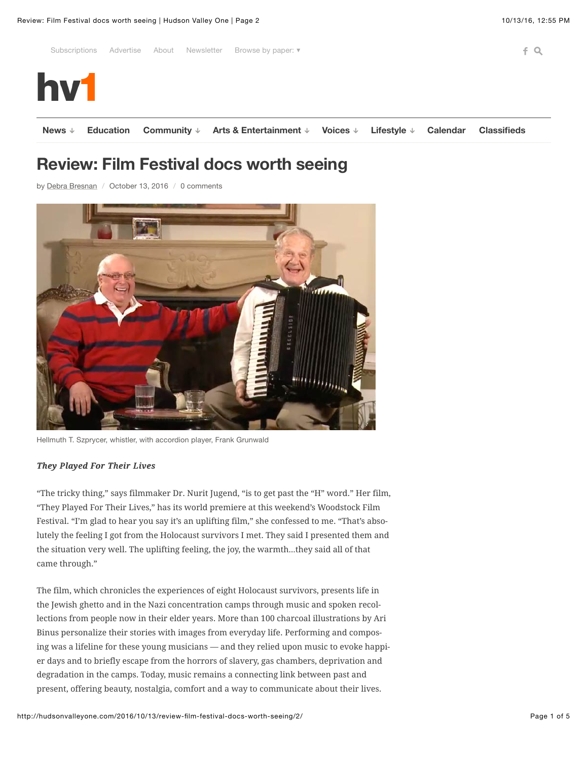

## **Review: Film Festival docs worth seeing**

by [Debra Bresnan](http://hudsonvalleyone.com/author/debra-bresnan/) / [October 13, 2016](http://hudsonvalleyone.com/2016/10/13/review-film-festival-docs-worth-seeing/) / [0 comments](http://hudsonvalleyone.com/2016/10/13/review-film-festival-docs-worth-seeing/#respond)



Hellmuth T. Szprycer, whistler, with accordion player, Frank Grunwald

## *They Played For Their Lives They Played For Their Lives*

"The tricky thing," says filmmaker Dr. Nurit Jugend, "is to get past the "H" word." Her film, "They Played For Their Lives," has its world premiere at this weekend's Woodstock Film Festival. "I'm glad to hear you say it's an uplifting film," she confessed to me. "That's absolutely the feeling I got from the Holocaust survivors I met. They said I presented them and the situation very well. The uplifting feeling, the joy, the warmth…they said all of that came through."

The film, which chronicles the experiences of eight Holocaust survivors, presents life in the Jewish ghetto and in the Nazi concentration camps through music and spoken recollections from people now in their elder years. More than 100 charcoal illustrations by Ari Binus personalize their stories with images from everyday life. Performing and composing was a lifeline for these young musicians — and they relied upon music to evoke happier days and to briefly escape from the horrors of slavery, gas chambers, deprivation and degradation in the camps. Today, music remains a connecting link between past and present, offering beauty, nostalgia, comfort and a way to communicate about their lives.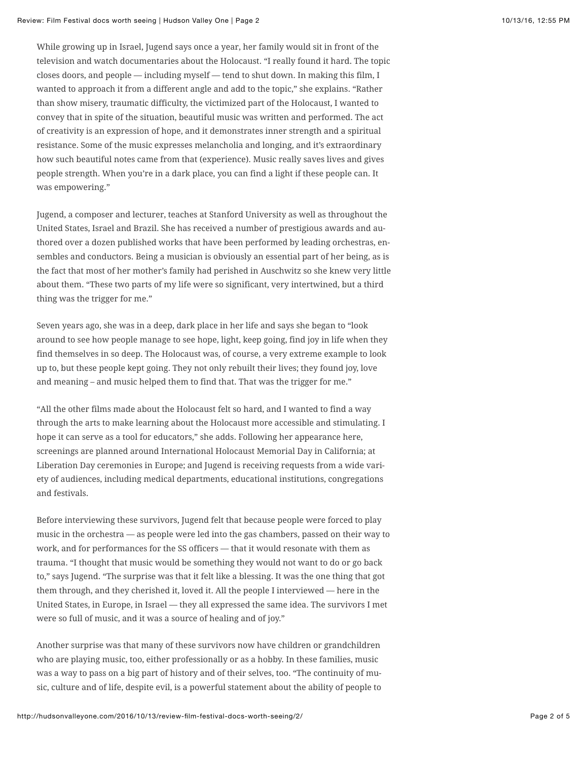While growing up in Israel, Jugend says once a year, her family would sit in front of the television and watch documentaries about the Holocaust. "I really found it hard. The topic closes doors, and people — including myself — tend to shut down. In making this film, I wanted to approach it from a different angle and add to the topic," she explains. "Rather than show misery, traumatic difficulty, the victimized part of the Holocaust, I wanted to convey that in spite of the situation, beautiful music was written and performed. The act of creativity is an expression of hope, and it demonstrates inner strength and a spiritual resistance. Some of the music expresses melancholia and longing, and it's extraordinary how such beautiful notes came from that (experience). Music really saves lives and gives people strength. When you're in a dark place, you can find a light if these people can. It was empowering."

Jugend, a composer and lecturer, teaches at Stanford University as well as throughout the United States, Israel and Brazil. She has received a number of prestigious awards and authored over a dozen published works that have been performed by leading orchestras, ensembles and conductors. Being a musician is obviously an essential part of her being, as is the fact that most of her mother's family had perished in Auschwitz so she knew very little about them. "These two parts of my life were so significant, very intertwined, but a third thing was the trigger for me."

Seven years ago, she was in a deep, dark place in her life and says she began to "look around to see how people manage to see hope, light, keep going, find joy in life when they find themselves in so deep. The Holocaust was, of course, a very extreme example to look up to, but these people kept going. They not only rebuilt their lives; they found joy, love and meaning – and music helped them to find that. That was the trigger for me."

"All the other films made about the Holocaust felt so hard, and I wanted to find a way through the arts to make learning about the Holocaust more accessible and stimulating. I hope it can serve as a tool for educators," she adds. Following her appearance here, screenings are planned around International Holocaust Memorial Day in California; at Liberation Day ceremonies in Europe; and Jugend is receiving requests from a wide variety of audiences, including medical departments, educational institutions, congregations and festivals.

Before interviewing these survivors, Jugend felt that because people were forced to play music in the orchestra — as people were led into the gas chambers, passed on their way to work, and for performances for the SS officers — that it would resonate with them as trauma. "I thought that music would be something they would not want to do or go back to," says Jugend. "The surprise was that it felt like a blessing. It was the one thing that got them through, and they cherished it, loved it. All the people I interviewed — here in the United States, in Europe, in Israel — they all expressed the same idea. The survivors I met were so full of music, and it was a source of healing and of joy."

Another surprise was that many of these survivors now have children or grandchildren who are playing music, too, either professionally or as a hobby. In these families, music was a way to pass on a big part of history and of their selves, too. "The continuity of music, culture and of life, despite evil, is a powerful statement about the ability of people to